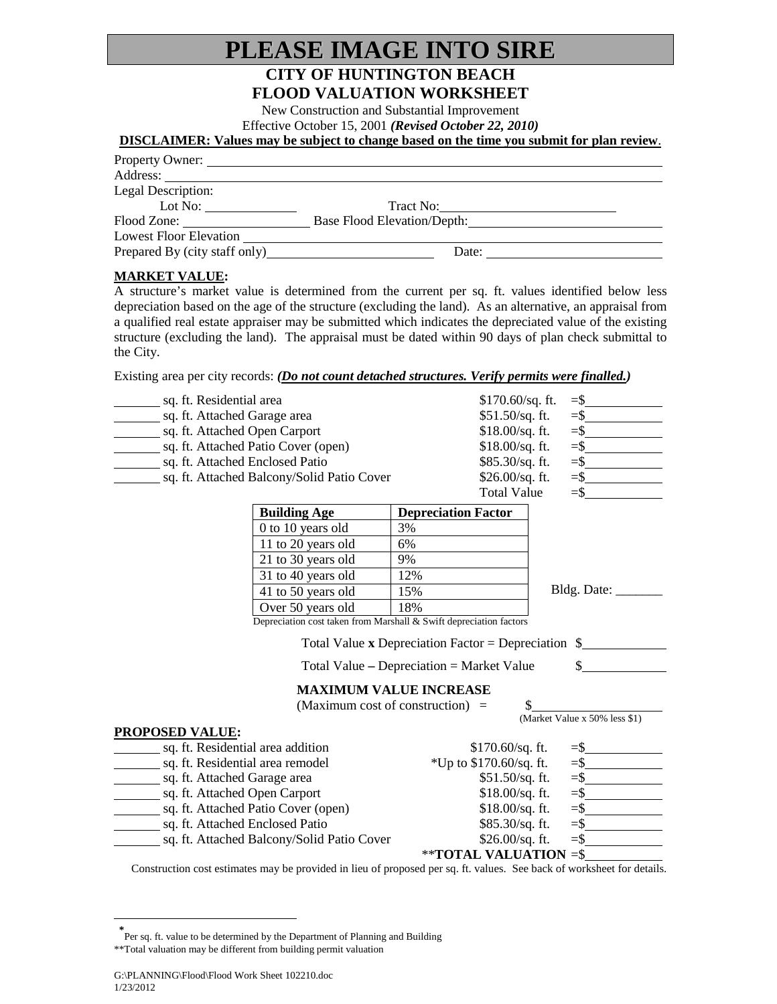# **PLEASE IMAGE INTO SIRE**

### **CITY OF HUNTINGTON BEACH FLOOD VALUATION WORKSHEET**

New Construction and Substantial Improvement

Effective October 15, 2001 *(Revised October 22, 2010)*

#### **DISCLAIMER: Values may be subject to change based on the time you submit for plan review**.

| Property Owner:               |                                    |  |
|-------------------------------|------------------------------------|--|
| Address:                      |                                    |  |
| Legal Description:            |                                    |  |
| Lot No:                       | Tract No:                          |  |
| Flood Zone:                   | <b>Base Flood Elevation/Depth:</b> |  |
| <b>Lowest Floor Elevation</b> |                                    |  |
| Prepared By (city staff only) | Date:                              |  |

#### **MARKET VALUE :**

A structure's market value is determined from the current per sq. ft. values identified below less depreciation based on the age of the structure (excluding the land). As an alternative, an appraisal from a qualified real estate appraiser may be submitted which indicates the depreciated value of the existing structure (excluding the land). The appraisal must be dated within 90 days of plan check submittal to the City.

Existing area per city records: *(Do not count detached structures. Verify permits were finalled.)*

| sq. ft. Residential area                             |                                                                    | $$170.60$ /sq. ft.                                                                                                    |                                         |  |
|------------------------------------------------------|--------------------------------------------------------------------|-----------------------------------------------------------------------------------------------------------------------|-----------------------------------------|--|
| sq. ft. Attached Garage area                         |                                                                    | $$51.50/sq.$ ft.                                                                                                      | $=$ \$                                  |  |
| sq. ft. Attached Open Carport                        |                                                                    | $$18.00/sq.$ ft.                                                                                                      | $=$ \$                                  |  |
| sq. ft. Attached Patio Cover (open)                  |                                                                    | $$18.00/sq.$ ft.                                                                                                      |                                         |  |
| sq. ft. Attached Enclosed Patio                      |                                                                    | $$85.30/sq.$ ft.                                                                                                      |                                         |  |
| sq. ft. Attached Balcony/Solid Patio Cover           |                                                                    | \$26.00/sq. ft.                                                                                                       |                                         |  |
|                                                      |                                                                    | <b>Total Value</b>                                                                                                    | $=$ \$<br><u> 1999 - Jan Barnett, f</u> |  |
|                                                      | <b>Building Age</b>                                                | <b>Depreciation Factor</b>                                                                                            |                                         |  |
|                                                      | 0 to 10 years old                                                  | 3%                                                                                                                    |                                         |  |
|                                                      | 11 to 20 years old                                                 | 6%                                                                                                                    |                                         |  |
|                                                      | 21 to 30 years old                                                 | 9%                                                                                                                    |                                         |  |
|                                                      | 31 to 40 years old                                                 | 12%                                                                                                                   |                                         |  |
|                                                      | 41 to 50 years old                                                 | 15%                                                                                                                   | Bldg. Date:                             |  |
|                                                      | Over 50 years old                                                  | 18%                                                                                                                   |                                         |  |
|                                                      | Depreciation cost taken from Marshall & Swift depreciation factors |                                                                                                                       |                                         |  |
| Total Value x Depreciation Factor = Depreciation $\$ |                                                                    |                                                                                                                       |                                         |  |
| Total Value $-$ Depreciation $=$ Market Value        |                                                                    |                                                                                                                       |                                         |  |
|                                                      |                                                                    | <b>MAXIMUM VALUE INCREASE</b>                                                                                         |                                         |  |
|                                                      |                                                                    | \$<br>(Maximum cost of construction) $=$                                                                              |                                         |  |
|                                                      |                                                                    |                                                                                                                       | (Market Value x 50% less \$1)           |  |
| <b>PROPOSED VALUE:</b>                               |                                                                    |                                                                                                                       |                                         |  |
| sq. ft. Residential area addition                    |                                                                    | $$170.60/sq.$ ft.                                                                                                     |                                         |  |
| sq. ft. Residential area remodel                     |                                                                    | *Up to $$170.60/sq$ . ft.                                                                                             | $=$ \$                                  |  |
| sq. ft. Attached Garage area                         |                                                                    | $$51.50/sq.$ ft.                                                                                                      |                                         |  |
| sq. ft. Attached Open Carport                        |                                                                    | $$18.00/sq.$ ft.                                                                                                      | $=$ \$                                  |  |
| sq. ft. Attached Patio Cover (open)                  |                                                                    | $$18.00/sq.$ ft.                                                                                                      | $=$ $\frac{ }{ }$                       |  |
| sq. ft. Attached Enclosed Patio                      |                                                                    | $$85.30/sq.$ ft.                                                                                                      | $=$ $\frac{ }{ }$                       |  |
|                                                      | sq. ft. Attached Balcony/Solid Patio Cover                         | \$26.00/sq. ft.                                                                                                       |                                         |  |
|                                                      |                                                                    | **TOTAL VALUATION =\$                                                                                                 |                                         |  |
|                                                      |                                                                    | Construction cost estimates may be provided in lieu of proposed per sq. ft, values. See back of worksheet for details |                                         |  |

vided in lieu of proposed per sq. ft. values. See back of worksheet for details.

 $\overline{a}$ 

**<sup>\*</sup>** Per sq. ft. value to be determined by the Department of Planning and Building

<span id="page-0-0"></span><sup>\*\*</sup>Total valuation may be different from building permit valuation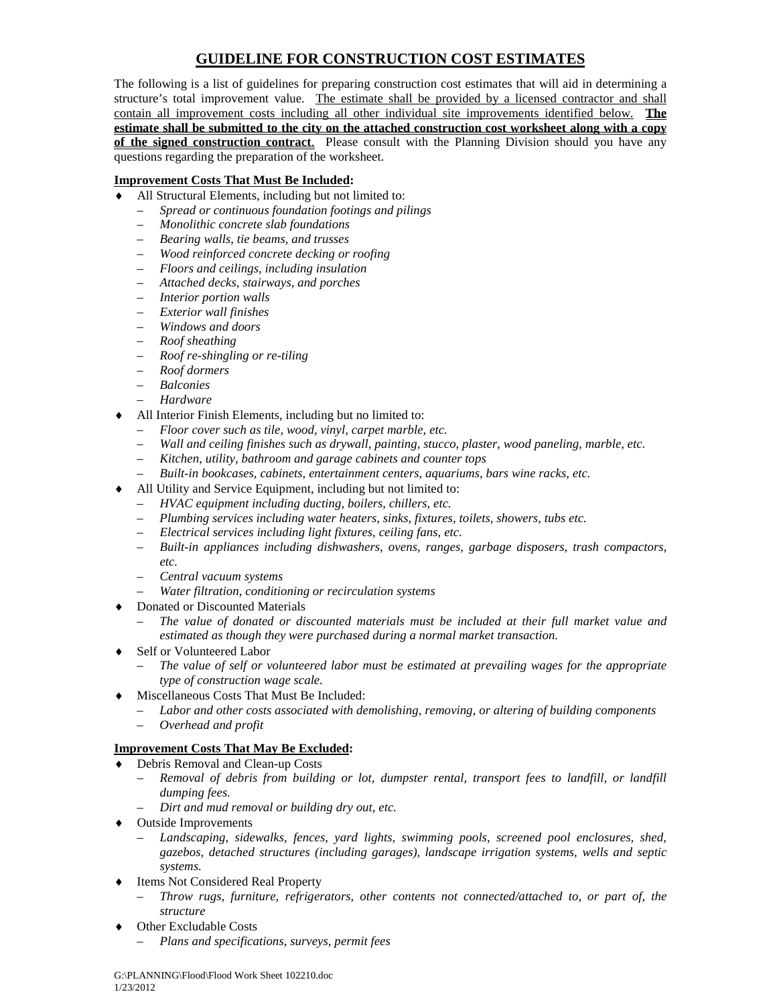## **GUIDELINE FOR CONSTRUCTION COST ESTIMATES**

The following is a list of guidelines for preparing construction cost estimates that will aid in determining a structure's total improvement value. The estimate shall be provided by a licensed contractor and shall contain all improvement costs including all other individual site improvements identified below. **The estimate shall be submitted to the city on the attached construction cost worksheet along with a copy of the signed construction contract**. Please consult with the Planning Division should you have any questions regarding the preparation of the worksheet.

#### **Improvement Costs That Must Be Included:**

- All Structural Elements, including but not limited to:
	- *Spread or continuous foundation footings and pilings*
	- *Monolithic concrete slab foundations*
	- *Bearing walls, tie beams, and trusses*
	- *Wood reinforced concrete decking or roofing*
	- *Floors and ceilings, including insulation*
	- *Attached decks, stairways, and porches*
	- *Interior portion walls*
	- *Exterior wall finishes*
	- *Windows and doors*
	- *Roof sheathing*
	- *Roof re-shingling or re-tiling*
	- *Roof dormers*
	- *Balconies*
	- *Hardware*
- All Interior Finish Elements, including but no limited to:
	- *Floor cover such as tile, wood, vinyl, carpet marble, etc.*
	- *Wall and ceiling finishes such as drywall, painting, stucco, plaster, wood paneling, marble, etc.*
	- *Kitchen, utility, bathroom and garage cabinets and counter tops*
	- *Built-in bookcases, cabinets, entertainment centers, aquariums, bars wine racks, etc.*
- All Utility and Service Equipment, including but not limited to:
	- *HVAC equipment including ducting, boilers, chillers, etc.*
	- *Plumbing services including water heaters, sinks, fixtures, toilets, showers, tubs etc.*
	- *Electrical services including light fixtures, ceiling fans, etc.*
	- *Built-in appliances including dishwashers, ovens, ranges, garbage disposers, trash compactors, etc.*
	- *Central vacuum systems*
	- *Water filtration, conditioning or recirculation systems*
- **Donated or Discounted Materials** 
	- *The value of donated or discounted materials must be included at their full market value and estimated as though they were purchased during a normal market transaction.*
- Self or Volunteered Labor
	- *The value of self or volunteered labor must be estimated at prevailing wages for the appropriate type of construction wage scale.*
- Miscellaneous Costs That Must Be Included:
	- *Labor and other costs associated with demolishing, removing, or altering of building components*
	- *Overhead and profit*

#### **Improvement Costs That May Be Excluded:**

- ♦ Debris Removal and Clean-up Costs
	- *Removal of debris from building or lot, dumpster rental, transport fees to landfill, or landfill dumping fees.*
	- *Dirt and mud removal or building dry out, etc.*
- ♦ Outside Improvements
	- *Landscaping, sidewalks, fences, yard lights, swimming pools, screened pool enclosures, shed, gazebos, detached structures (including garages), landscape irrigation systems, wells and septic systems.*
- Items Not Considered Real Property
	- *Throw rugs, furniture, refrigerators, other contents not connected/attached to, or part of, the structure*
- Other Excludable Costs
	- *Plans and specifications, surveys, permit fees*